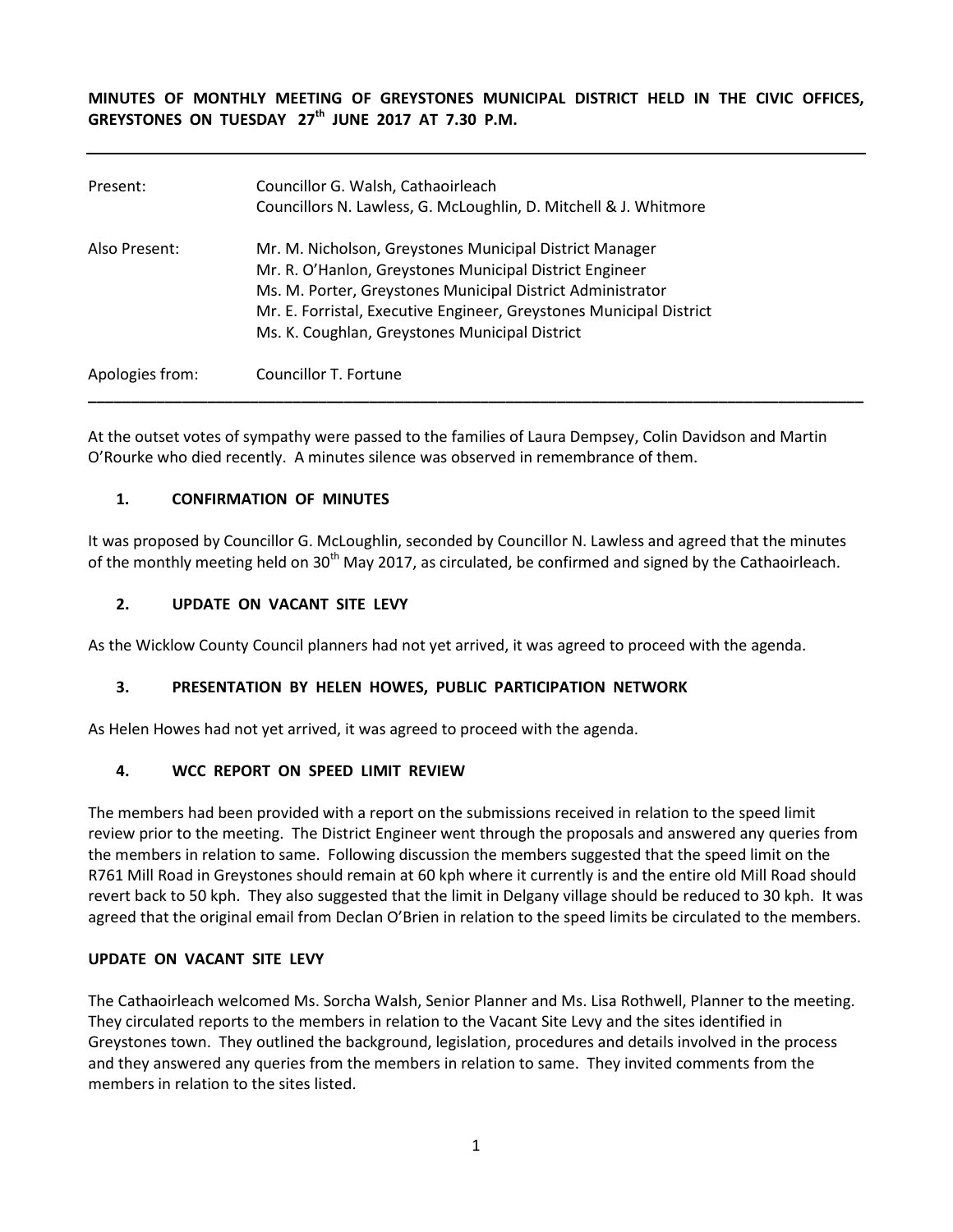**MINUTES OF MONTHLY MEETING OF GREYSTONES MUNICIPAL DISTRICT HELD IN THE CIVIC OFFICES, GREYSTONES ON TUESDAY 27th JUNE 2017 AT 7.30 P.M.** 

| Present:        | Councillor G. Walsh, Cathaoirleach<br>Councillors N. Lawless, G. McLoughlin, D. Mitchell & J. Whitmore                                                                                                                                                                                                    |
|-----------------|-----------------------------------------------------------------------------------------------------------------------------------------------------------------------------------------------------------------------------------------------------------------------------------------------------------|
| Also Present:   | Mr. M. Nicholson, Greystones Municipal District Manager<br>Mr. R. O'Hanlon, Greystones Municipal District Engineer<br>Ms. M. Porter, Greystones Municipal District Administrator<br>Mr. E. Forristal, Executive Engineer, Greystones Municipal District<br>Ms. K. Coughlan, Greystones Municipal District |
| Apologies from: | Councillor T. Fortune                                                                                                                                                                                                                                                                                     |

At the outset votes of sympathy were passed to the families of Laura Dempsey, Colin Davidson and Martin O'Rourke who died recently. A minutes silence was observed in remembrance of them.

#### **1. CONFIRMATION OF MINUTES**

It was proposed by Councillor G. McLoughlin, seconded by Councillor N. Lawless and agreed that the minutes of the monthly meeting held on  $30<sup>th</sup>$  May 2017, as circulated, be confirmed and signed by the Cathaoirleach.

#### **2. UPDATE ON VACANT SITE LEVY**

As the Wicklow County Council planners had not yet arrived, it was agreed to proceed with the agenda.

## **3. PRESENTATION BY HELEN HOWES, PUBLIC PARTICIPATION NETWORK**

As Helen Howes had not yet arrived, it was agreed to proceed with the agenda.

#### **4. WCC REPORT ON SPEED LIMIT REVIEW**

The members had been provided with a report on the submissions received in relation to the speed limit review prior to the meeting. The District Engineer went through the proposals and answered any queries from the members in relation to same. Following discussion the members suggested that the speed limit on the R761 Mill Road in Greystones should remain at 60 kph where it currently is and the entire old Mill Road should revert back to 50 kph. They also suggested that the limit in Delgany village should be reduced to 30 kph. It was agreed that the original email from Declan O'Brien in relation to the speed limits be circulated to the members.

#### **UPDATE ON VACANT SITE LEVY**

The Cathaoirleach welcomed Ms. Sorcha Walsh, Senior Planner and Ms. Lisa Rothwell, Planner to the meeting. They circulated reports to the members in relation to the Vacant Site Levy and the sites identified in Greystones town. They outlined the background, legislation, procedures and details involved in the process and they answered any queries from the members in relation to same. They invited comments from the members in relation to the sites listed.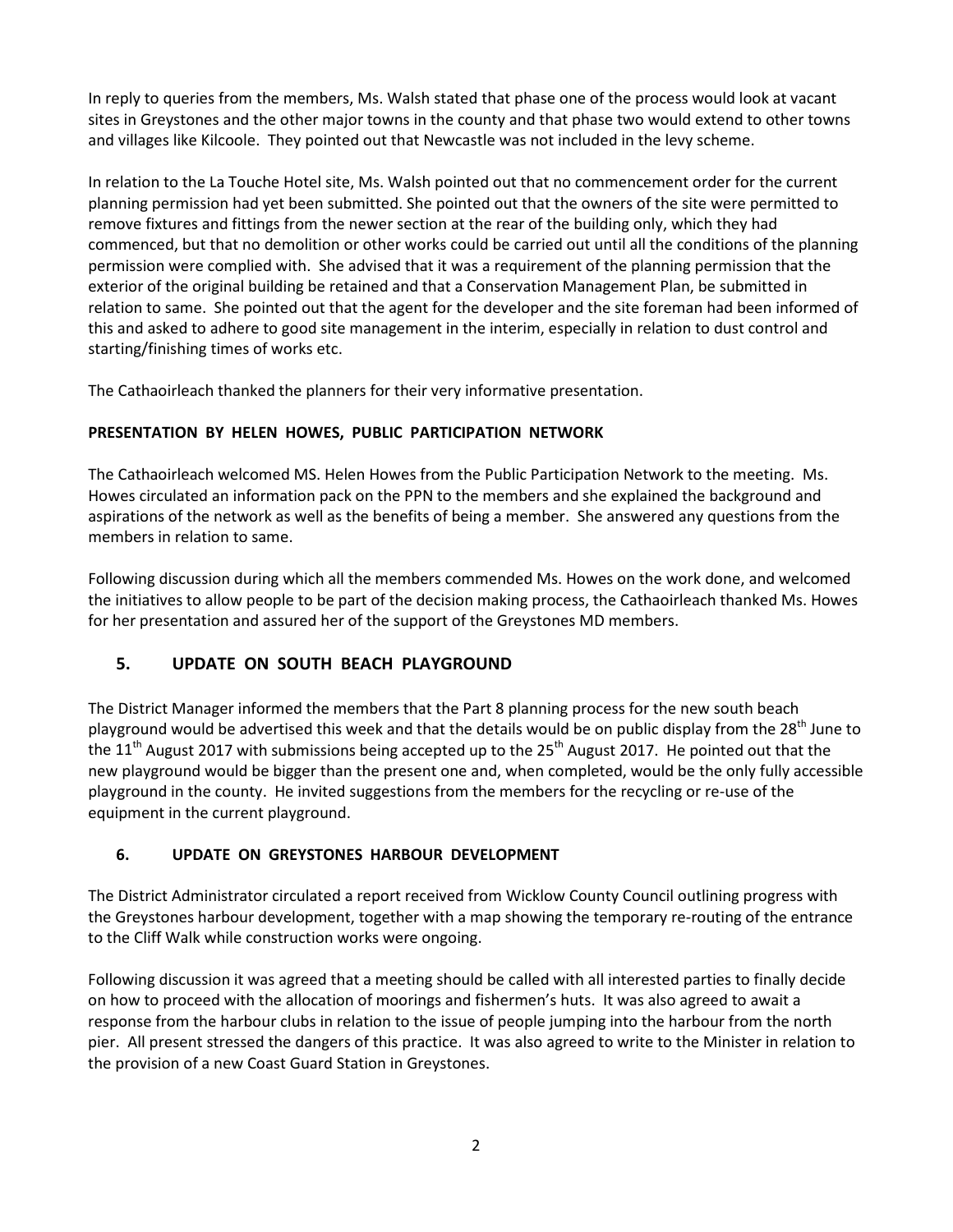In reply to queries from the members, Ms. Walsh stated that phase one of the process would look at vacant sites in Greystones and the other major towns in the county and that phase two would extend to other towns and villages like Kilcoole. They pointed out that Newcastle was not included in the levy scheme.

In relation to the La Touche Hotel site, Ms. Walsh pointed out that no commencement order for the current planning permission had yet been submitted. She pointed out that the owners of the site were permitted to remove fixtures and fittings from the newer section at the rear of the building only, which they had commenced, but that no demolition or other works could be carried out until all the conditions of the planning permission were complied with. She advised that it was a requirement of the planning permission that the exterior of the original building be retained and that a Conservation Management Plan, be submitted in relation to same. She pointed out that the agent for the developer and the site foreman had been informed of this and asked to adhere to good site management in the interim, especially in relation to dust control and starting/finishing times of works etc.

The Cathaoirleach thanked the planners for their very informative presentation.

## **PRESENTATION BY HELEN HOWES, PUBLIC PARTICIPATION NETWORK**

The Cathaoirleach welcomed MS. Helen Howes from the Public Participation Network to the meeting. Ms. Howes circulated an information pack on the PPN to the members and she explained the background and aspirations of the network as well as the benefits of being a member. She answered any questions from the members in relation to same.

Following discussion during which all the members commended Ms. Howes on the work done, and welcomed the initiatives to allow people to be part of the decision making process, the Cathaoirleach thanked Ms. Howes for her presentation and assured her of the support of the Greystones MD members.

## **5. UPDATE ON SOUTH BEACH PLAYGROUND**

The District Manager informed the members that the Part 8 planning process for the new south beach playground would be advertised this week and that the details would be on public display from the 28<sup>th</sup> June to the 11<sup>th</sup> August 2017 with submissions being accepted up to the 25<sup>th</sup> August 2017. He pointed out that the new playground would be bigger than the present one and, when completed, would be the only fully accessible playground in the county. He invited suggestions from the members for the recycling or re-use of the equipment in the current playground.

## **6. UPDATE ON GREYSTONES HARBOUR DEVELOPMENT**

The District Administrator circulated a report received from Wicklow County Council outlining progress with the Greystones harbour development, together with a map showing the temporary re-routing of the entrance to the Cliff Walk while construction works were ongoing.

Following discussion it was agreed that a meeting should be called with all interested parties to finally decide on how to proceed with the allocation of moorings and fishermen's huts. It was also agreed to await a response from the harbour clubs in relation to the issue of people jumping into the harbour from the north pier. All present stressed the dangers of this practice. It was also agreed to write to the Minister in relation to the provision of a new Coast Guard Station in Greystones.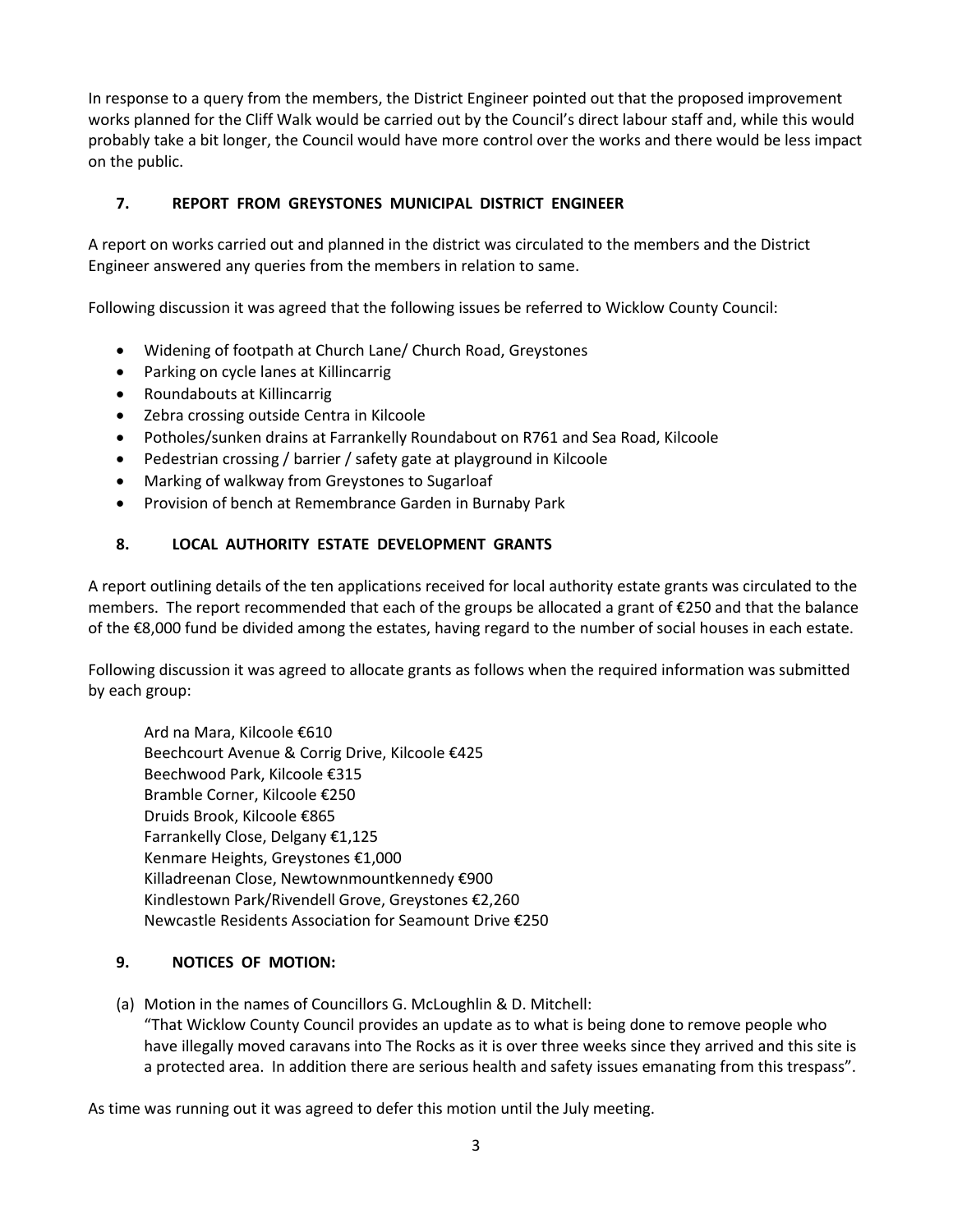In response to a query from the members, the District Engineer pointed out that the proposed improvement works planned for the Cliff Walk would be carried out by the Council's direct labour staff and, while this would probably take a bit longer, the Council would have more control over the works and there would be less impact on the public.

## **7. REPORT FROM GREYSTONES MUNICIPAL DISTRICT ENGINEER**

A report on works carried out and planned in the district was circulated to the members and the District Engineer answered any queries from the members in relation to same.

Following discussion it was agreed that the following issues be referred to Wicklow County Council:

- Widening of footpath at Church Lane/ Church Road, Greystones
- Parking on cycle lanes at Killincarrig
- Roundabouts at Killincarrig
- Zebra crossing outside Centra in Kilcoole
- Potholes/sunken drains at Farrankelly Roundabout on R761 and Sea Road, Kilcoole
- Pedestrian crossing / barrier / safety gate at playground in Kilcoole
- Marking of walkway from Greystones to Sugarloaf
- Provision of bench at Remembrance Garden in Burnaby Park

# **8. LOCAL AUTHORITY ESTATE DEVELOPMENT GRANTS**

A report outlining details of the ten applications received for local authority estate grants was circulated to the members. The report recommended that each of the groups be allocated a grant of €250 and that the balance of the €8,000 fund be divided among the estates, having regard to the number of social houses in each estate.

Following discussion it was agreed to allocate grants as follows when the required information was submitted by each group:

Ard na Mara, Kilcoole €610 Beechcourt Avenue & Corrig Drive, Kilcoole €425 Beechwood Park, Kilcoole €315 Bramble Corner, Kilcoole €250 Druids Brook, Kilcoole €865 Farrankelly Close, Delgany €1,125 Kenmare Heights, Greystones €1,000 Killadreenan Close, Newtownmountkennedy €900 Kindlestown Park/Rivendell Grove, Greystones €2,260 Newcastle Residents Association for Seamount Drive €250

## **9. NOTICES OF MOTION:**

(a) Motion in the names of Councillors G. McLoughlin & D. Mitchell: "That Wicklow County Council provides an update as to what is being done to remove people who have illegally moved caravans into The Rocks as it is over three weeks since they arrived and this site is a protected area. In addition there are serious health and safety issues emanating from this trespass".

As time was running out it was agreed to defer this motion until the July meeting.